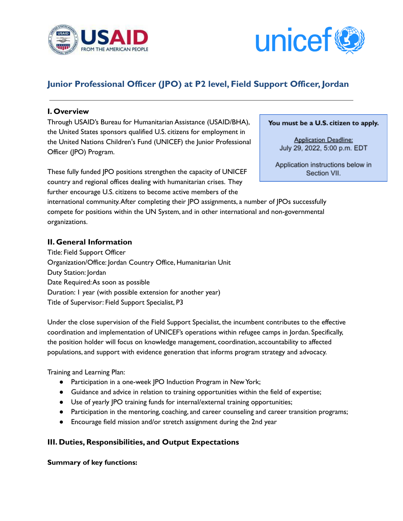



# **Junior Professional Officer (JPO) at P2 level, Field Support Officer, Jordan**

#### **I. Overview**

Through USAID's Bureau for Humanitarian Assistance (USAID/BHA), the United States sponsors qualified U.S. citizens for employment in the United Nations Children's Fund (UNICEF) the Junior Professional Officer (JPO) Program.

These fully funded JPO positions strengthen the capacity of UNICEF country and regional offices dealing with humanitarian crises. They further encourage U.S. citizens to become active members of the

international community.After completing their JPO assignments, a number of JPOs successfully compete for positions within the UN System, and in other international and non-governmental organizations.

## **II. General Information**

Title: Field Support Officer Organization/Office: Jordan Country Office, Humanitarian Unit Duty Station: Jordan Date Required:As soon as possible Duration: 1 year (with possible extension for another year) Title of Supervisor: Field Support Specialist, P3

Under the close supervision of the Field Support Specialist, the incumbent contributes to the effective coordination and implementation of UNICEF's operations within refugee camps in Jordan. Specifically, the position holder will focus on knowledge management, coordination, accountability to affected populations, and support with evidence generation that informs program strategy and advocacy.

Training and Learning Plan:

- Participation in a one-week JPO Induction Program in NewYork;
- Guidance and advice in relation to training opportunities within the field of expertise;
- Use of yearly JPO training funds for internal/external training opportunities;
- Participation in the mentoring, coaching, and career counseling and career transition programs;
- Encourage field mission and/or stretch assignment during the 2nd year

#### **III. Duties, Responsibilities, and Output Expectations**

**Summary of key functions:**

You must be a U.S. citizen to apply.

**Application Deadline:** July 29, 2022, 5:00 p.m. EDT

Application instructions below in Section VII.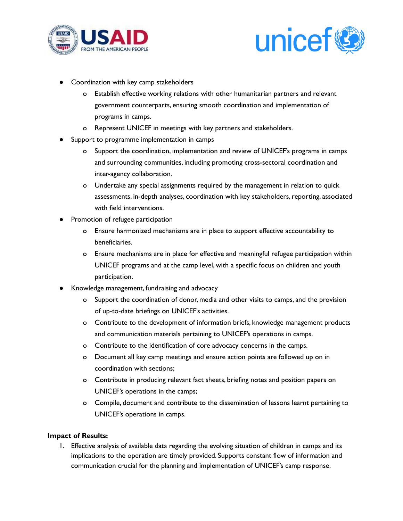



- Coordination with key camp stakeholders
	- o Establish effective working relations with other humanitarian partners and relevant government counterparts, ensuring smooth coordination and implementation of programs in camps.
	- o Represent UNICEF in meetings with key partners and stakeholders.
- Support to programme implementation in camps
	- o Support the coordination, implementation and review of UNICEF's programs in camps and surrounding communities, including promoting cross-sectoral coordination and inter-agency collaboration.
	- o Undertake any special assignments required by the management in relation to quick assessments, in-depth analyses, coordination with key stakeholders, reporting, associated with field interventions.
- Promotion of refugee participation
	- o Ensure harmonized mechanisms are in place to support effective accountability to beneficiaries.
	- o Ensure mechanisms are in place for effective and meaningful refugee participation within UNICEF programs and at the camp level, with a specific focus on children and youth participation.
- Knowledge management, fundraising and advocacy
	- o Support the coordination of donor, media and other visits to camps, and the provision of up-to-date briefings on UNICEF's activities.
	- o Contribute to the development of information briefs, knowledge management products and communication materials pertaining to UNICEF's operations in camps.
	- o Contribute to the identification of core advocacy concerns in the camps.
	- o Document all key camp meetings and ensure action points are followed up on in coordination with sections;
	- o Contribute in producing relevant fact sheets, briefing notes and position papers on UNICEF's operations in the camps;
	- o Compile, document and contribute to the dissemination of lessons learnt pertaining to UNICEF's operations in camps.

#### **Impact of Results:**

1. Effective analysis of available data regarding the evolving situation of children in camps and its implications to the operation are timely provided. Supports constant flow of information and communication crucial for the planning and implementation of UNICEF's camp response.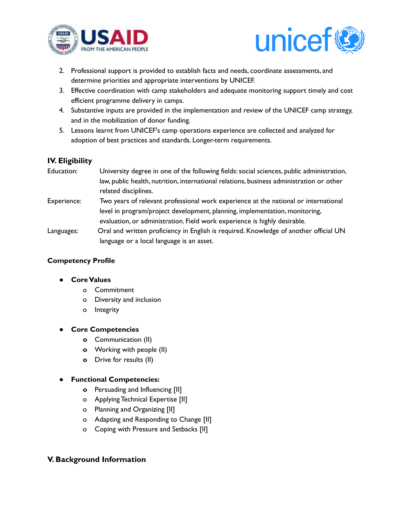



- 2. Professional support is provided to establish facts and needs, coordinate assessments, and determine priorities and appropriate interventions by UNICEF.
- 3. Effective coordination with camp stakeholders and adequate monitoring support timely and cost efficient programme delivery in camps.
- 4. Substantive inputs are provided in the implementation and review of the UNICEF camp strategy, and in the mobilization of donor funding.
- 5. Lessons learnt from UNICEF's camp operations experience are collected and analyzed for adoption of best practices and standards. Longer-term requirements.

## **IV. Eligibility**

| Education:  | University degree in one of the following fields: social sciences, public administration, |
|-------------|-------------------------------------------------------------------------------------------|
|             | law, public health, nutrition, international relations, business administration or other  |
|             | related disciplines.                                                                      |
| Experience: | Two years of relevant professional work experience at the national or international       |
|             | level in program/project development, planning, implementation, monitoring,               |
|             | evaluation, or administration. Field work experience is highly desirable.                 |
| Languages:  | Oral and written proficiency in English is required. Knowledge of another official UN     |
|             | language or a local language is an asset.                                                 |

## **Competency Profile**

#### **● CoreValues**

- o Commitment
- o Diversity and inclusion
- o Integrity

#### **● Core Competencies**

- **o** Communication (II)
- **o** Working with people (II)
- **o** Drive for results (II)

## **● Functional Competencies:**

- **o** Persuading and Influencing [II]
- o Applying Technical Expertise [II]
- o Planning and Organizing [II]
- o Adapting and Responding to Change [II]
- o Coping with Pressure and Setbacks [II]

## **V. Background Information**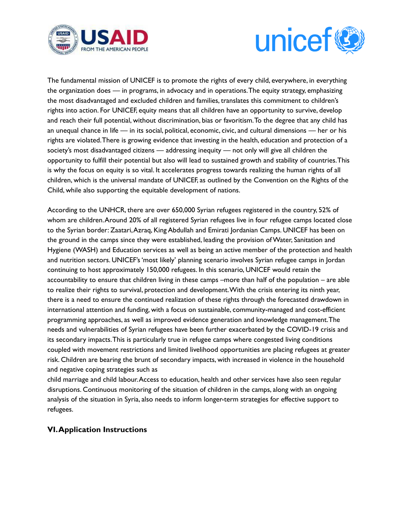



The fundamental mission of UNICEF is to promote the rights of every child, everywhere, in everything the organization does — in programs, in advocacy and in operations.The equity strategy, emphasizing the most disadvantaged and excluded children and families, translates this commitment to children's rights into action. For UNICEF, equity means that all children have an opportunity to survive, develop and reach their full potential, without discrimination, bias or favoritism.To the degree that any child has an unequal chance in life — in its social, political, economic, civic, and cultural dimensions — her or his rights are violated.There is growing evidence that investing in the health, education and protection of a society's most disadvantaged citizens — addressing inequity — not only will give all children the opportunity to fulfill their potential but also will lead to sustained growth and stability of countries.This is why the focus on equity is so vital. It accelerates progress towards realizing the human rights of all children, which is the universal mandate of UNICEF, as outlined by the Convention on the Rights of the Child, while also supporting the equitable development of nations.

According to the UNHCR, there are over 650,000 Syrian refugees registered in the country, 52% of whom are children.Around 20% of all registered Syrian refugees live in four refugee camps located close to the Syrian border: Zaatari, Azraq, King Abdullah and Emirati Jordanian Camps. UNICEF has been on the ground in the camps since they were established, leading the provision ofWater, Sanitation and Hygiene (WASH) and Education services as well as being an active member of the protection and health and nutrition sectors. UNICEF's'most likely' planning scenario involves Syrian refugee camps in Jordan continuing to host approximately 150,000 refugees. In this scenario, UNICEF would retain the accountability to ensure that children living in these camps –more than half of the population – are able to realize their rights to survival, protection and development.With the crisis entering its ninth year, there is a need to ensure the continued realization of these rights through the forecasted drawdown in international attention and funding, with a focus on sustainable, community-managed and cost-efficient programming approaches, as well as improved evidence generation and knowledge management.The needs and vulnerabilities of Syrian refugees have been further exacerbated by the COVID-19 crisis and its secondary impacts.This is particularly true in refugee camps where congested living conditions coupled with movement restrictions and limited livelihood opportunities are placing refugees at greater risk. Children are bearing the brunt of secondary impacts, with increased in violence in the household and negative coping strategies such as

child marriage and child labour.Access to education, health and other services have also seen regular disruptions. Continuous monitoring of the situation of children in the camps, along with an ongoing analysis of the situation in Syria, also needs to inform longer-term strategies for effective support to refugees.

#### **VI.Application Instructions**